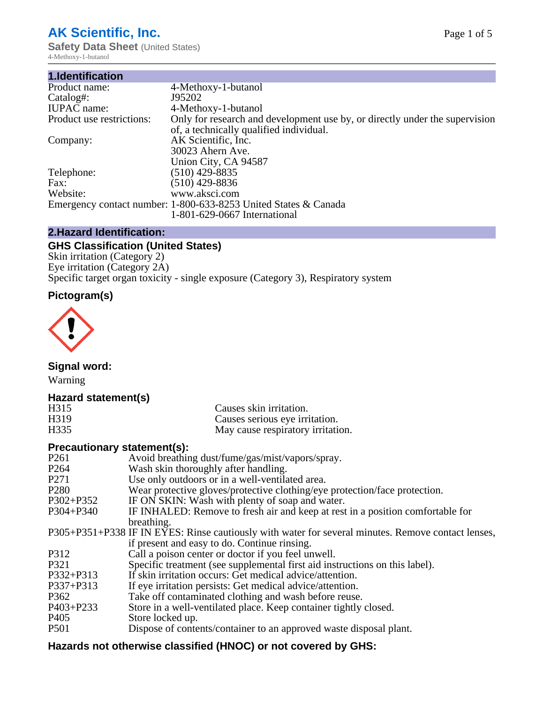# **AK Scientific, Inc.**

**Safety Data Sheet (United States)** 4-Methoxy-1-butanol

| 1.Identification          |                                                                                                                        |
|---------------------------|------------------------------------------------------------------------------------------------------------------------|
| Product name:             | 4-Methoxy-1-butanol                                                                                                    |
| Catalog#:                 | J95202                                                                                                                 |
| <b>IUPAC</b> name:        | 4-Methoxy-1-butanol                                                                                                    |
| Product use restrictions: | Only for research and development use by, or directly under the supervision<br>of, a technically qualified individual. |
| Company:                  | AK Scientific, Inc.                                                                                                    |
|                           | 30023 Ahern Ave.                                                                                                       |
|                           | Union City, CA 94587                                                                                                   |
| Telephone:                | $(510)$ 429-8835                                                                                                       |
| Fax:                      | (510) 429-8836                                                                                                         |
| Website:                  | www.aksci.com                                                                                                          |
|                           | Emergency contact number: 1-800-633-8253 United States & Canada                                                        |
|                           | 1-801-629-0667 International                                                                                           |

## **2.Hazard Identification:**

## **GHS Classification (United States)**

Skin irritation (Category 2) Eye irritation (Category 2A) Specific target organ toxicity - single exposure (Category 3), Respiratory system

# **Pictogram(s)**



**Signal word:**

Warning

## **Hazard statement(s)**

| H <sub>315</sub>  | Causes skin irritation.           |
|-------------------|-----------------------------------|
| H <sub>3</sub> 19 | Causes serious eye irritation.    |
| H335              | May cause respiratory irritation. |

## **Precautionary statement(s):**

| P <sub>261</sub> | Avoid breathing dust/fume/gas/mist/vapors/spray.                                                   |
|------------------|----------------------------------------------------------------------------------------------------|
| P <sub>264</sub> | Wash skin thoroughly after handling.                                                               |
| P <sub>271</sub> | Use only outdoors or in a well-ventilated area.                                                    |
| P <sub>280</sub> | Wear protective gloves/protective clothing/eye protection/face protection.                         |
| P302+P352        | IF ON SKIN: Wash with plenty of soap and water.                                                    |
| $P304 + P340$    | IF INHALED: Remove to fresh air and keep at rest in a position comfortable for                     |
|                  | breathing.                                                                                         |
|                  | P305+P351+P338 IF IN EYES: Rinse cautiously with water for several minutes. Remove contact lenses, |
|                  | if present and easy to do. Continue rinsing.                                                       |
| P312             | Call a poison center or doctor if you feel unwell.                                                 |
| P321             | Specific treatment (see supplemental first aid instructions on this label).                        |
| P332+P313        | If skin irritation occurs: Get medical advice/attention.                                           |
| P337+P313        | If eye irritation persists: Get medical advice/attention.                                          |
| P362             | Take off contaminated clothing and wash before reuse.                                              |
| $P403 + P233$    | Store in a well-ventilated place. Keep container tightly closed.                                   |
| P <sub>405</sub> | Store locked up.                                                                                   |
| P <sub>501</sub> | Dispose of contents/container to an approved waste disposal plant.                                 |
|                  |                                                                                                    |

## **Hazards not otherwise classified (HNOC) or not covered by GHS:**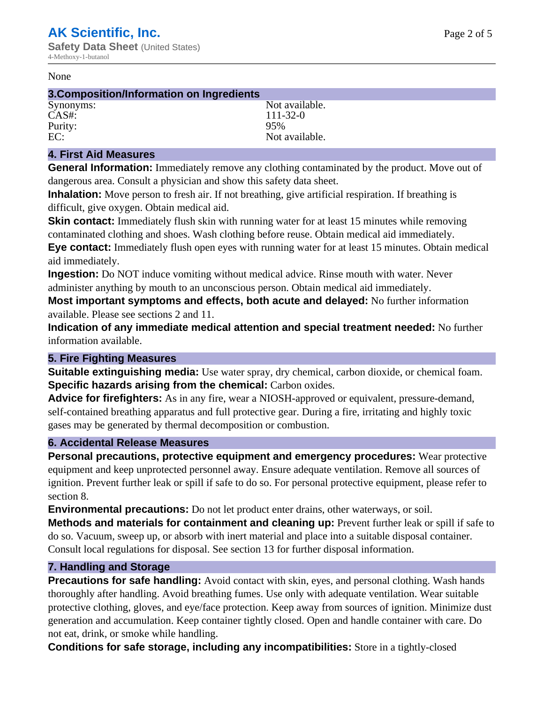#### None

#### **3.Composition/Information on Ingredients**

CAS#: 111-32-0 Purity: 95%

Synonyms: Not available. EC: Not available.

#### **4. First Aid Measures**

**General Information:** Immediately remove any clothing contaminated by the product. Move out of dangerous area. Consult a physician and show this safety data sheet.

**Inhalation:** Move person to fresh air. If not breathing, give artificial respiration. If breathing is difficult, give oxygen. Obtain medical aid.

**Skin contact:** Immediately flush skin with running water for at least 15 minutes while removing contaminated clothing and shoes. Wash clothing before reuse. Obtain medical aid immediately. **Eye contact:** Immediately flush open eyes with running water for at least 15 minutes. Obtain medical aid immediately.

**Ingestion:** Do NOT induce vomiting without medical advice. Rinse mouth with water. Never administer anything by mouth to an unconscious person. Obtain medical aid immediately.

**Most important symptoms and effects, both acute and delayed:** No further information available. Please see sections 2 and 11.

**Indication of any immediate medical attention and special treatment needed:** No further information available.

#### **5. Fire Fighting Measures**

**Suitable extinguishing media:** Use water spray, dry chemical, carbon dioxide, or chemical foam. **Specific hazards arising from the chemical:** Carbon oxides.

**Advice for firefighters:** As in any fire, wear a NIOSH-approved or equivalent, pressure-demand, self-contained breathing apparatus and full protective gear. During a fire, irritating and highly toxic gases may be generated by thermal decomposition or combustion.

#### **6. Accidental Release Measures**

**Personal precautions, protective equipment and emergency procedures:** Wear protective equipment and keep unprotected personnel away. Ensure adequate ventilation. Remove all sources of ignition. Prevent further leak or spill if safe to do so. For personal protective equipment, please refer to section 8.

**Environmental precautions:** Do not let product enter drains, other waterways, or soil.

**Methods and materials for containment and cleaning up:** Prevent further leak or spill if safe to do so. Vacuum, sweep up, or absorb with inert material and place into a suitable disposal container. Consult local regulations for disposal. See section 13 for further disposal information.

#### **7. Handling and Storage**

**Precautions for safe handling:** Avoid contact with skin, eyes, and personal clothing. Wash hands thoroughly after handling. Avoid breathing fumes. Use only with adequate ventilation. Wear suitable protective clothing, gloves, and eye/face protection. Keep away from sources of ignition. Minimize dust generation and accumulation. Keep container tightly closed. Open and handle container with care. Do not eat, drink, or smoke while handling.

**Conditions for safe storage, including any incompatibilities:** Store in a tightly-closed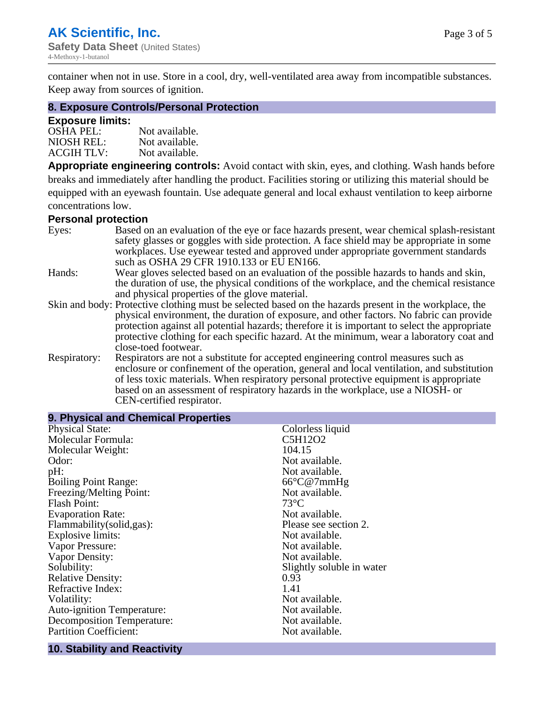container when not in use. Store in a cool, dry, well-ventilated area away from incompatible substances. Keep away from sources of ignition.

#### **8. Exposure Controls/Personal Protection**

#### **Exposure limits:**

| <b>OSHA PEL:</b>  | Not available. |
|-------------------|----------------|
| NIOSH REL:        | Not available. |
| <b>ACGIH TLV:</b> | Not available. |

**Appropriate engineering controls:** Avoid contact with skin, eyes, and clothing. Wash hands before breaks and immediately after handling the product. Facilities storing or utilizing this material should be equipped with an eyewash fountain. Use adequate general and local exhaust ventilation to keep airborne concentrations low.

#### **Personal protection**

| Eyes:        | Based on an evaluation of the eye or face hazards present, wear chemical splash-resistant<br>safety glasses or goggles with side protection. A face shield may be appropriate in some                                                                                      |
|--------------|----------------------------------------------------------------------------------------------------------------------------------------------------------------------------------------------------------------------------------------------------------------------------|
|              | workplaces. Use eyewear tested and approved under appropriate government standards<br>such as OSHA 29 CFR 1910.133 or EU EN166.                                                                                                                                            |
| Hands:       | Wear gloves selected based on an evaluation of the possible hazards to hands and skin,                                                                                                                                                                                     |
|              | the duration of use, the physical conditions of the workplace, and the chemical resistance<br>and physical properties of the glove material.                                                                                                                               |
|              | Skin and body: Protective clothing must be selected based on the hazards present in the workplace, the                                                                                                                                                                     |
|              | physical environment, the duration of exposure, and other factors. No fabric can provide<br>protection against all potential hazards; therefore it is important to select the appropriate                                                                                  |
|              | protective clothing for each specific hazard. At the minimum, wear a laboratory coat and<br>close-toed footwear.                                                                                                                                                           |
| Respiratory: | Respirators are not a substitute for accepted engineering control measures such as<br>enclosure or confinement of the operation, general and local ventilation, and substitution<br>of less toxic materials. When respiratory personal protective equipment is appropriate |
|              | based on an assessment of respiratory hazards in the workplace, use a NIOSH- or                                                                                                                                                                                            |
|              | CEN-certified respirator.                                                                                                                                                                                                                                                  |

| Colorless liquid          |
|---------------------------|
| C5H12O2                   |
| 104.15                    |
| Not available.            |
| Not available.            |
| $66^{\circ}$ C@7mmHg      |
| Not available.            |
| $73^{\circ}C$             |
| Not available.            |
| Please see section 2.     |
| Not available.            |
| Not available.            |
| Not available.            |
| Slightly soluble in water |
| 0.93                      |
| 1.41                      |
| Not available.            |
| Not available.            |
| Not available.            |
| Not available.            |
|                           |

#### **10. Stability and Reactivity**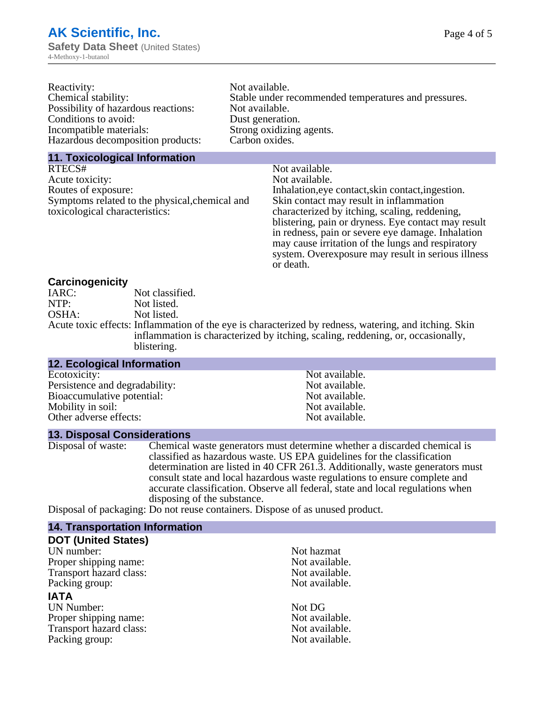| Reactivity:                         | Not available.                                       |
|-------------------------------------|------------------------------------------------------|
| Chemical stability:                 | Stable under recommended temperatures and pressures. |
| Possibility of hazardous reactions: | Not available.                                       |
| Conditions to avoid:                | Dust generation.                                     |
| Incompatible materials:             | Strong oxidizing agents.                             |
| Hazardous decomposition products:   | Carbon oxides.                                       |
|                                     |                                                      |

#### **11. Toxicological Information**

| Not available.                                      |
|-----------------------------------------------------|
| Not available.                                      |
| Inhalation, eye contact, skin contact, ingestion.   |
| Skin contact may result in inflammation             |
| characterized by itching, scaling, reddening,       |
| blistering, pain or dryness. Eye contact may result |
| in redness, pain or severe eye damage. Inhalation   |
| may cause irritation of the lungs and respiratory   |
| system. Overexposure may result in serious illness  |
|                                                     |

or death.

#### **Carcinogenicity**

| IARC: | Not classified.                                                                                       |
|-------|-------------------------------------------------------------------------------------------------------|
| NTP:  | Not listed.                                                                                           |
| OSHA: | Not listed.                                                                                           |
|       | Acute toxic effects: Inflammation of the eye is characterized by redness, watering, and itching. Skin |
|       | inflammation is characterized by itching, scaling, reddening, or, occasionally,                       |
|       | blistering.                                                                                           |

| <b>12. Ecological Information</b> |                |
|-----------------------------------|----------------|
| Ecotoxicity:                      | Not available. |
| Persistence and degradability:    | Not available. |
| Bioaccumulative potential:        | Not available. |
| Mobility in soil:                 | Not available. |
| Other adverse effects:            | Not available. |

### **13. Disposal Considerations**

Disposal of waste: Chemical waste generators must determine whether a discarded chemical is classified as hazardous waste. US EPA guidelines for the classification determination are listed in 40 CFR 261.3. Additionally, waste generators must consult state and local hazardous waste regulations to ensure complete and accurate classification. Observe all federal, state and local regulations when disposing of the substance.

Disposal of packaging: Do not reuse containers. Dispose of as unused product.

| <b>14. Transportation Information</b> |                |
|---------------------------------------|----------------|
| <b>DOT (United States)</b>            |                |
| UN number:                            | Not hazmat     |
| Proper shipping name:                 | Not available. |
| Transport hazard class:               | Not available. |
| Packing group:                        | Not available. |
| <b>IATA</b>                           |                |
| <b>UN Number:</b>                     | Not DG         |
| Proper shipping name:                 | Not available. |
| Transport hazard class:               | Not available. |
| Packing group:                        | Not available. |